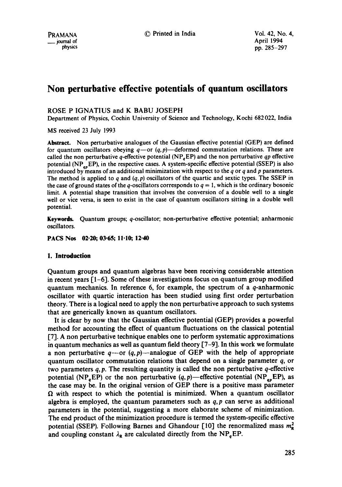# **Non perturbative effective potentials of quantum oscillators**

ROSE P IGNATIUS and K BABU JOSEPH

Department of Physics, Cochin University of Science and Technology, Kochi 682 022, India

MS received 23 July 1993

**Abstract.** Non perturbative analogues of the Gaussian effective potential (GEP) are defined for quantum oscillators obeying  $q$ -or  $(q, p)$ -deformed commutation relations. These are called the non perturbative  $q$ -effective potential  $(NP<sub>e</sub>EP)$  and the non perturbative *qp* effective potential  $(NP_{nR}EP)$ , in the respective cases. A system-specific effective potential (SSEP) is also introduced by means of an additional minimization with respect to the  $q$  or  $q$  and  $p$  parameters. The method is applied to q and  $(q, p)$  oscillators of the quartic and sextic types. The SSEP in the case of ground states of the q-oscillators corresponds to  $q = 1$ , which is the ordinary bosonic limit. A potential shape transition that involves the conversion of a double well to a single well or vice versa, is seen to exist in the case of quantum oscillators sitting in a double well potential.

**Keywords.** Quantum groups; q-oscillator; non-perturbative effective potential; anharmonic oscillators.

**PACS Nos 02.20; 03.65; !i.10; 12.40** 

# **1. Introduction**

Quantum groups and quantum algebras have been receiving considerable attention in recent years [1-6]. Some of these investigations focus on quantum group modified quantum mechanics. In reference 6, for example, the spectrum of a q-anharmonic oscillator with quartic interaction has been studied using first order perturbation theory. There is a logical need to apply the non perturbative approach to such systems that are generically known as quantum oscillators.

It is clear by now that the Gaussian effective potential (GEP) provides a powerful method for accounting the effect of quantum fluctuations on the classical potential [7]. A non perturbative technique enables one to perform systematic approximations in quantum mechanics as well as quantum field theory [7-9]. In this work we formulate a non perturbative  $q \rightarrow q$  (q, p)—analogue of GEP with the help of appropriate quantum oscillator commutation relations that depend on a single parameter q, or two parameters  $q, p$ . The resulting quantity is called the non perturbative  $q$ -effective potential (NP<sub>q</sub>EP) or the non perturbative  $(q, p)$ —effective potential (NP<sub>qp</sub>EP), as the case may be. In the original version of GEP there is a positive mass parameter  $\Omega$  with respect to which the potential is minimized. When a quantum oscillator algebra is employed, the quantum parameters such as *q, p* can serve as additional parameters in the potential, suggesting a more elaborate scheme of minimization. The end product of the minimization procedure is termed the system-specific effective potential (SSEP). Following Barnes and Ghandour [10] the renormalized mass  $m_{\rm g}^2$ and coupling constant  $\lambda_R$  are calculated directly from the NP<sub>a</sub>EP.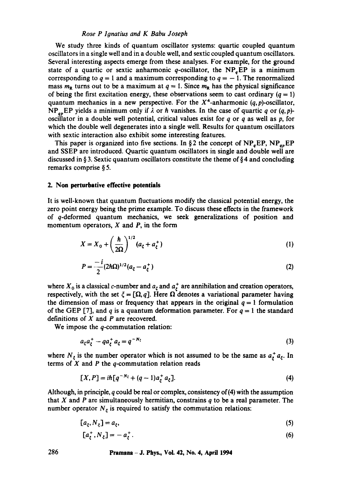#### *Rose P Ignatius and K Babu Joseph*

We study three kinds of quantum oscillator systems: quartic coupled quantum oscillators in a single well and in a double well, and sextic coupled quantum oscillators. Several interesting aspects emerge from these analyses. For example, for the ground state of a quartic or sextic anharmonic q-oscillator, the NP<sub>a</sub>EP is a minimum corresponding to  $q = 1$  and a maximum corresponding to  $q = -1$ . The renormalized mass  $m<sub>R</sub>$  turns out to be a maximum at  $q = 1$ . Since  $m<sub>R</sub>$  has the physical significance of being the first excitation energy, these observations seem to cast ordinary  $(q = 1)$ quantum mechanics in a new perspective. For the  $X^4$ -anharmonic  $(q, p)$ -oscillator, NP<sub>ap</sub>EP yields a minimum only if  $\lambda$  or  $\hbar$  vanishes. In the case of quartic q or (q, p)oscillator in a double well potential, critical values exist for q or q as well as  $p$ , for which the double well degenerates into a single well. Results for quantum oscillators with sextic interaction also exhibit some interesting features.

This paper is organized into five sections. In §2 the concept of  $NP_{q}EP$ ,  $NP_{q}EP$ and SSEP are introduced. Quartic quantum oscillators in single and double well are discussed in § 3. Sextic quantum oscillators constitute the theme of § 4 and concluding remarks comprise § 5.

## **2. Non perturbative effective potentials**

It is well-known that quantum fluctuations modify the classical potential energy, the zero point energy being the prime example. To discuss these effects in the framework of q-deformed quantum mechanics, we seek generalizations of position and momentum operators,  $X$  and  $P$ , in the form

$$
X = X_0 + \left(\frac{\hbar}{2\Omega}\right)^{1/2} (a_{\xi} + a_{\xi}^+) \tag{1}
$$

$$
P = \frac{-i}{2} (2\hbar \Omega)^{1/2} (a_{\xi} - a_{\xi}^{+})
$$
 (2)

where  $X_0$  is a classical c-number and  $a_t$  and  $a_t^+$  are annihilation and creation operators, respectively, with the set  $\xi = [\Omega, q]$ . Here  $\Omega$  denotes a variational parameter having the dimension of mass or frequency that appears in the original  $q = 1$  formulation of the GEP [7], and q is a quantum deformation parameter. For  $q = 1$  the standard definitions of  $X$  and  $P$  are recovered.

We impose the  $q$ -commutation relation:

$$
a_{\xi}a_{\xi}^{+}-qa_{\xi}^{+}a_{\xi}=q^{-N_{\xi}}\tag{3}
$$

where  $N_{\xi}$  is the number operator which is not assumed to be the same as  $a_{\xi}^{+} a_{\xi}$ . In terms of  $X$  and  $P$  the  $q$ -commutation relation reads

$$
[X,P] = i\hbar [q^{-N_{\xi}} + (q-1)a_{\xi}^+ a_{\xi}].
$$
\n(4)

Although, in principle, q could be real or complex, consistency of  $(4)$  with the assumption that X and P are simultaneously hermitian, constrains  $q$  to be a real parameter. The number operator  $N_{\xi}$  is required to satisfy the commutation relations:

$$
[a_{\xi}, N_{\xi}] = a_{\xi},\tag{5}
$$

$$
[a_{\xi}^+, N_{\xi}] = -a_{\xi}^+.
$$
 (6)

**286 Pramana - J. Phys., Vol. 42, No. 4, April 1994**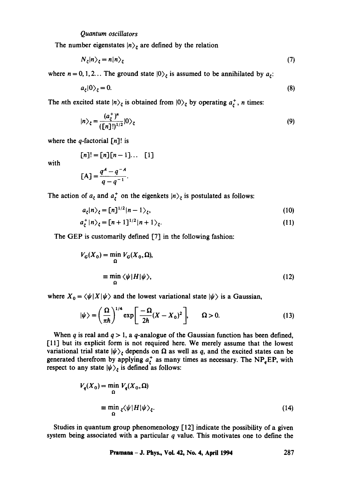The number eigenstates  $|n\rangle_{\xi}$  are defined by the relation

$$
N_{\zeta}|n\rangle_{\zeta} = n|n\rangle_{\zeta} \tag{7}
$$

where  $n = 0, 1, 2...$  The ground state  $|0\rangle_{\xi}$  is assumed to be annihilated by  $a_{\xi}$ :

$$
a_{\xi}|0\rangle_{\xi}=0.\tag{8}
$$

The nth excited state  $|n\rangle_{\xi}$  is obtained from  $|0\rangle_{\xi}$  by operating  $a_{\xi}^{+}$ , n times:

$$
|n\rangle_{\xi} = \frac{(a_{\xi}^{+})^{n}}{(\lfloor n \rfloor!)^{1/2}}|0\rangle_{\xi}
$$
 (9)

where the q-factorial  $[n]$ ! is

$$
[n]! = [n][n-1]\dots [1]
$$

with

$$
[A] = \frac{q^A - q^{-A}}{q - q^{-1}}.
$$

The action of  $a_{\xi}$  and  $a_{\xi}^{+}$  on the eigenkets  $|n\rangle_{\xi}$  is postulated as follows:

$$
a_{\xi}|n\rangle_{\xi} = [n]^{1/2}|n-1\rangle_{\xi},\tag{10}
$$

$$
a_{\xi}^+|n\rangle_{\xi} = [n+1]^{1/2}|n+1\rangle_{\xi}.\tag{11}
$$

The GEP is customarily defined [7] in the following fashion:

$$
V_G(X_0) = \min_{\Omega} V_G(X_0, \Omega),
$$
  

$$
\equiv \min_{\Omega} \langle \psi | H | \psi \rangle,
$$
 (12)

where  $X_0 = \langle \psi | X | \psi \rangle$  and the lowest variational state  $|\psi \rangle$  is a Gaussian,

$$
|\psi\rangle = \left(\frac{\Omega}{\pi\hbar}\right)^{1/4} \exp\left[\frac{-\Omega}{2\hbar}(X - X_0)^2\right], \qquad \Omega > 0. \tag{13}
$$

When q is real and  $q > 1$ , a q-analogue of the Gaussian function has been defined, [11] but its explicit form is not required here. We merely assume that the lowest variational trial state  $|\psi\rangle_{\xi}$  depends on  $\Omega$  as well as q, and the excited states can be generated therefrom by applying  $a^{\dagger}$  as many times as necessary. The NP<sub>q</sub>EP, with respect to any state  $|\psi\rangle_{\xi}$  is defined as follows:

$$
V_q(X_0) = \min_{\Omega} V_q(X_0, \Omega)
$$
  

$$
\equiv \min_{\Omega} \zeta \langle \psi | H | \psi \rangle_{\zeta}.
$$
 (14)

Studies in quantum group phenomenology  $[12]$  indicate the possibility of a given system being associated with a particular  $q$  value. This motivates one to define the

**Pramana - J. Phys., Vol. 42, No. 4, April 1994 287**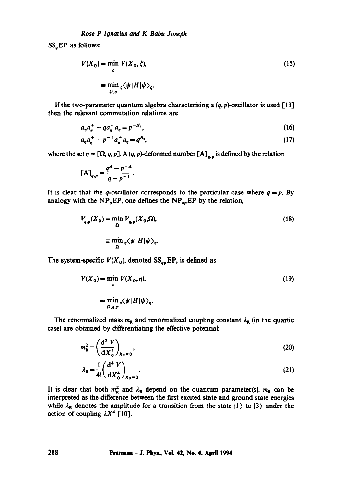$SS<sub>a</sub>EP$  as follows:

$$
V(X_0) = \min_{\zeta} V(X_0, \zeta),
$$
  
\n
$$
\equiv \min_{\Omega, q} \langle \psi | H | \psi \rangle_{\zeta}.
$$
 (15)

If the two-parameter quantum algebra characterising a  $(q, p)$ -oscillator is used [13] then the relevant commutation relations are

$$
a_n a_n^+ - q a_n^+ a_n = p^{-N_n}, \tag{16}
$$

$$
a_n a_n^+ - p^{-1} a_n^+ a_n = q^{N_n}, \qquad (17)
$$

where the set  $\eta=[\Omega, q, p]$ . A  $(q, p)$ -deformed number  $[A]_{q,p}$  is defined by the relation

$$
[A]_{q,p} = \frac{q^A - p^{-A}}{q - p^{-1}}.
$$

It is clear that the q-oscillator corresponds to the particular case where  $q=p$ . By analogy with the NP<sub>q</sub>EP, one defines the NP<sub>qp</sub>EP by the relation,

$$
V_{q,p}(X_0) = \min_{\Omega} V_{q,p}(X_0, \Omega),
$$
  

$$
\equiv \min_{\Omega} \sqrt{\psi |H|\psi|},
$$
 (18)

The system-specific  $V(X_0)$ , denoted  $SS_{ap}EP$ , is defined as

$$
V(X_0) = \min_{\eta} V(X_0, \eta),
$$
  
= 
$$
\min_{\Omega, q, p} \langle \psi | H | \psi \rangle_{\eta}.
$$
 (19)

The renormalized mass  $m_R$  and renormalized coupling constant  $\lambda_R$  (in the quartic case) are obtained by differentiating the effective potential:

$$
m_{\mathbf{R}}^2 = \left(\frac{\mathrm{d}^2 V}{\mathrm{d}X_0^2}\right)_{X_0 = 0},\tag{20}
$$

$$
\lambda_{\mathbf{R}} = \frac{1}{4!} \left( \frac{d^4 V}{dX_0^4} \right)_{X_0 = 0} .
$$
 (21)

It is clear that both  $m_R^2$  and  $\lambda_R$  depend on the quantum parameter(s).  $m_R$  can be interpreted as the difference between the first excited state and ground state energies while  $\lambda_R$  denotes the amplitude for a transition from the state  $|1\rangle$  to  $|3\rangle$  under the action of coupling  $\lambda X^4$  [10].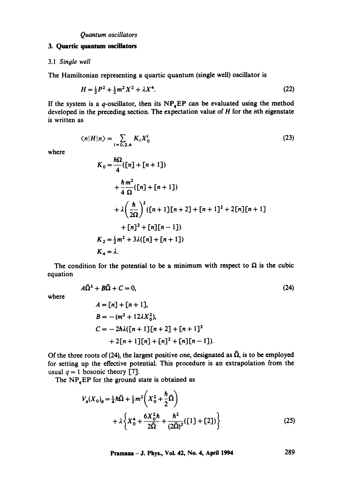#### **3. Quartic quantum oscillators**

#### 3.1 *Single well*

The Hamiltonian representing a quartic quantum (single well) oscillator is

$$
H = \frac{1}{2}P^2 + \frac{1}{2}m^2X^2 + \lambda X^4. \tag{22}
$$

If the system is a q-oscillator, then its  $NP<sub>q</sub>EP$  can be evaluated using the method developed in the preceding section. The expectation value of  $H$  for the nth eigenstate is written as

$$
\langle n|H|n\rangle = \sum_{i=0,2,4} K_i X_0^i \tag{23}
$$

where

$$
K_0 = \frac{\hbar\Omega}{4} ([n] + [n+1])
$$
  
+  $\frac{\hbar m^2}{4 \Omega} ([n] + [n+1])$   
+  $\lambda \left(\frac{\hbar}{2\Omega}\right)^2 ([n+1][n+2] + [n+1]^2 + 2[n][n+1])$   
+  $[n]^2 + [n][n-1])$   
 $K_2 = \frac{1}{2}m^2 + 3\lambda ([n] + [n+1])$   
 $K_4 = \lambda.$ 

The condition for the potential to be a minimum with respect to  $\Omega$  is the cubic equation

$$
A\bar{\Omega}^3 + B\bar{\Omega} + C = 0,\tag{24}
$$

where

$$
A = [n] + [n + 1],
$$
  
\n
$$
B = -(m^2 + 12\lambda X_0^2),
$$
  
\n
$$
C = -2\hbar\lambda([n + 1][n + 2] + [n + 1]^2 + 2[n + 1][n] + [n]^2 + [n][n - 1]).
$$

Of the three roots of (24), the largest positive one, designated as  $\overline{\Omega}$ , is to be employed for setting up the effective potential. This procedure is an extrapolation from the usual  $q = 1$  bosonic theory [7].

The  $NP<sub>a</sub>EP$  for the ground state is obtained as

$$
V_q(X_0)_g = \frac{1}{4}\hbar\bar{\Omega} + \frac{1}{2}m^2\left(X_0^2 + \frac{\hbar}{2}\bar{\Omega}\right) + \lambda\left\{X_0^4 + \frac{6X_0^2\hbar}{2\bar{\Omega}} + \frac{\hbar^2}{(2\bar{\Omega})^2}([1] + [2])\right\}
$$
(25)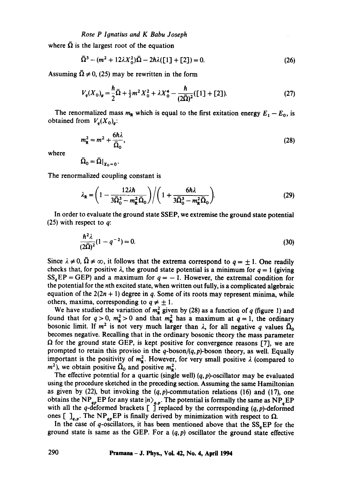where  $\overline{\Omega}$  is the largest root of the equation

$$
\bar{\Omega}^3 - (m^2 + 12\lambda X_0^2)\bar{\Omega} - 2\hbar\lambda([1] + [2]) = 0.
$$
 (26)

Assuming  $\overline{\Omega} \neq 0$ , (25) may be rewritten in the form

$$
V_q(X_0)_g = \frac{\hbar}{2}\bar{\Omega} + \frac{1}{2}m^2X_0^2 + \lambda X_0^4 - \frac{\hbar}{(2\bar{\Omega})^2}([1] + [2]).
$$
 (27)

The renormalized mass  $m_R$  which is equal to the first exitation energy  $E_1 - E_0$ , is obtained from  $V_a(X_0)_a$ :

$$
m_{\rm R}^2 = m^2 + \frac{6\hbar\lambda}{\bar{\Omega}_0},\tag{28}
$$

where

$$
\bar{\Omega}_0 = \bar{\Omega}|_{X_0=0}.
$$

The renormalized coupling constant is

$$
\lambda_{\mathbf{R}} = \left(1 - \frac{12\lambda\hbar}{3\overline{\Omega}_0^3 - m_{\mathbf{R}}^2\,\overline{\Omega}_0}\right) \bigg/ \bigg(1 + \frac{6\hbar\lambda}{3\overline{\Omega}_0^3 - m_{\mathbf{R}}^2\,\overline{\Omega}_0}\bigg).
$$
 (29)

In order to evaluate the ground state SSEP, we extremise the ground state potential (25) with respect to  $q$ :

$$
\frac{\hbar^2 \lambda}{(2\bar{\Omega})^2} (1 - q^{-2}) = 0.
$$
 (30)

Since  $\lambda \neq 0$ ,  $\overline{\Omega} \neq \infty$ , it follows that the extrema correspond to  $q = \pm 1$ . One readily checks that, for positive  $\lambda$ , the ground state potential is a minimum for  $q = 1$  (giving  $SS<sub>g</sub>EP = GEP$ ) and a maximum for  $q = -1$ . However, the extremal condition for the potential for the nth excited state, when written out fully, is a complicated algebraic equation of the  $2(2n + 1)$  degree in q. Some of its roots may represent minima, while others, maxima, corresponding to  $q \neq \pm 1$ .

We have studied the variation of  $m_R^2$  given by (28) as a function of q (figure 1) and found that for  $q > 0$ ,  $m_R^2 > 0$  and that  $m_R^2$  has a maximum at  $q = 1$ , the ordinary bosonic limit. If  $m^2$  is not very much larger than  $\lambda$ , for all negative q values  $\overline{\Omega}_0$ becomes negative. Recalling that in the ordinary bosonic theory the mass parameter  $\Omega$  for the ground state GEP, is kept positive for convergence reasons [7], we are prompted to retain this proviso in the *q-boson/(q,p)-boson* theory, as well. Equally important is the positivity of  $m_R^2$ . However, for very small positive  $\lambda$  (compared to  $m^2$ ), we obtain positive  $\Omega_0$  and positive  $m_\mathbf{R}^2$ .

The effective potential for a quartic (single well)  $(q, p)$ -oscillator may be evaluated using the procedure sketched in the preceding section. Assuming the same Hamiltonian as given by (22), but invoking the  $(q, p)$ -commutation relations (16) and (17), one obtains the NP<sub>an</sub>EP for any state  $\ket{n}_{q,n}$ . The potential is formally the same as NP<sub>r</sub>EP with all the q-deformed brackets  $\lbrack$  replaced by the corresponding  $(q, p)$ -deformed ones  $\left[ \right]_{q,p}$ . The NP<sub>qp</sub>EP is finally derived by minimization with respect to  $\Omega$ .

In the case of q-oscillators, it has been mentioned above that the  $SS_qEP$  for the ground state is same as the GEP. For a  $(q, p)$  oscillator the ground state effective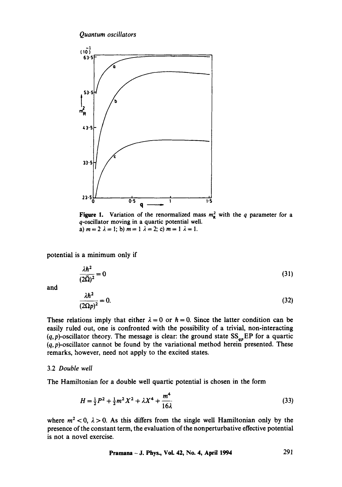*Quantum oscillators* 



Figure 1. Variation of the renormalized mass  $m_R^2$  with the q parameter for a q-oscillator moving in a quartic potential well. a)  $m = 2 \lambda = 1$ ; b)  $m = 1 \lambda = 2$ ; c)  $m = 1 \lambda = 1$ .

potential is a minimum only if

$$
\frac{\lambda \hbar^2}{(2\bar{\Omega})^2} = 0
$$
\n(31)

and

$$
\frac{\lambda h^2}{(2\Omega p)^2} = 0.
$$
\n(32)

These relations imply that either  $\lambda = 0$  or  $\hbar = 0$ . Since the latter condition can be easily ruled out, one is confronted with the possibility of a trivial, non-interacting  $(q, p)$ -oscillator theory. The message is clear: the ground state  $SS_{ap}EP$  for a quartic  $(q, p)$ -oscillator cannot be found by the variational method herein presented. These remarks, however, need not apply to the excited states.

## 3.2 *Double well*

The Hamiltonian for a double well quartic potential is chosen in the form

$$
H = \frac{1}{2}P^2 + \frac{1}{2}m^2X^2 + \lambda X^4 + \frac{m^4}{16\lambda}
$$
 (33)

where  $m^2$  < 0,  $\lambda$  > 0. As this differs from the single well Hamiltonian only by the presence of the constant term, the evaluation of the nonperturbative effective potential is not a novel exercise.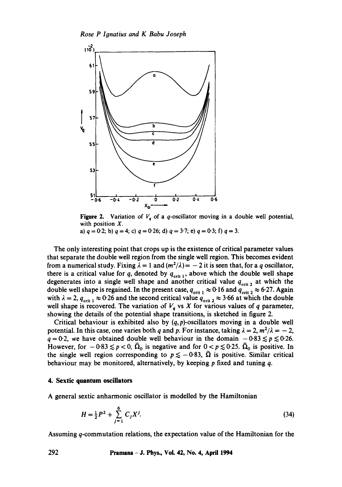

Figure 2. Variation of  $V_q$  of a q-oscillator moving in a double well potential, with position  $X$ .

a) 
$$
q = 0.2
$$
; b)  $q = 4$ ; c)  $q = 0.26$ ; d)  $q = 3.7$ ; e)  $q = 0.3$ ; f)  $q = 3$ .

The only interesting point that crops up is the existence of critical parameter values that separate the double well region from the single well region. This becomes evident from a numerical study. Fixing  $\lambda = 1$  and  $(m^2/\lambda) = -2$  it is seen that, for a q oscillator, there is a critical value for q, denoted by  $q_{\text{crit 1}}$ , above which the double well shape degenerates into a single well shape and another critical value  $q_{\text{crit 2}}$  at which the double well shape is regained. In the present case,  $q_{\text{crit 1}} \approx 0.16$  and  $q_{\text{crit 2}} \approx 6.27$ . Again with  $\lambda = 2$ ,  $q_{\text{crit 1}} \approx 0.26$  and the second critical value  $q_{\text{crit 2}} \approx 3.66$  at which the double well shape is recovered. The variation of  $V_q$  vs X for various values of q parameter, showing the details of the potential shape transitions, is sketched in figure 2.

Critical behaviour is exhibited also by  $(q, p)$ -oscillators moving in a double well potential. In this case, one varies both q and p. For instance, taking  $\lambda = 2$ ,  $m^2/\lambda = -2$ ,  $q = 0.2$ , we have obtained double well behaviour in the domain  $-0.83 \leq p \leq 0.26$ . However, for  $-0.83 \le p < 0$ ,  $\overline{\Omega}_0$  is negative and for  $0 < p \le 0.25$ .  $\overline{\Omega}_0$  is positive. In the single well region corresponding to  $p \le -0.83$ ,  $\overline{\Omega}$  is positive. Similar critical behaviour may be monitored, alternatively, by keeping p fixed and tuning q.

#### **4. Sextic quantum oscillators**

A general sextic anharmonic oscillator is modelled by the Hamiltonian

$$
H = \frac{1}{2}P^2 + \sum_{j=1}^{6} C_j X^j.
$$
 (34)

Assuming q-commutation relations, the expectation value of the Hamiltonian for the

**292 Pramana - J. Phys., Vol. 42, No. 4, April 1994**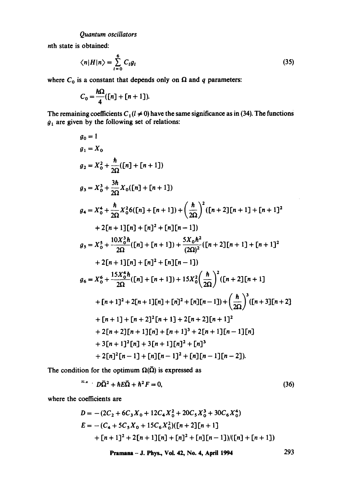nth state is obtained:

$$
\langle n|H|n\rangle = \sum_{i=0}^{6} C_i g_i \tag{35}
$$

where  $C_0$  is a constant that depends only on  $\Omega$  and q parameters:

$$
C_0=\frac{\hbar\Omega}{4}([n]+[n+1]).
$$

The remaining coefficients  $C_1(l \neq 0)$  have the same significance as in (34). The functions  $\dot{g}_1$  are given by the following set of relations:

$$
g_0 = 1
$$
  
\n
$$
g_1 = X_0
$$
  
\n
$$
g_2 = X_0^2 + \frac{\hbar}{2\Omega} ([n] + [n+1])
$$
  
\n
$$
g_3 = X_0^3 + \frac{3\hbar}{2\Omega} X_0 ([n] + [n+1])
$$
  
\n
$$
g_4 = X_0^4 + \frac{\hbar}{2\Omega} X_0^2 6 ([n] + [n+1]) + (\frac{\hbar}{2\Omega})^2 ([n+2][n+1] + [n+1]^2
$$
  
\n
$$
+ 2[n+1][n] + [n]^2 + [n][n-1])
$$
  
\n
$$
g_5 = X_0^5 + \frac{10X_0^3\hbar}{2\Omega} ([n] + [n+1]) + \frac{5X_0\hbar^2}{(2\Omega)^2} ([n+2][n+1] + [n+1]^2
$$
  
\n
$$
+ 2[n+1][n] + [n]^2 + [n][n-1])
$$
  
\n
$$
g_6 = X_0^6 + \frac{15X_0^4\hbar}{2\Omega} ([n] + [n+1]) + 15X_0^2 (\frac{\hbar}{2\Omega})^2 ([n+2][n+1]
$$
  
\n
$$
+ [n+1]^2 + 2[n+1][n] + [n]^2 + [n][n-1]) + (\frac{\hbar}{2\Omega})^3 ([n+3][n+2]
$$
  
\n
$$
+ [n+1] + [n+2]^2 [n+1] + 2[n+2][n+1]^2
$$
  
\n
$$
+ 2[n+2][n+1][n] + [n+1]^3 + 2[n+1][n-1][n]
$$
  
\n
$$
+ 3[n+1]^2 [n] + 3[n+1][n] - 1]^2 + [n][n-1][n-2]).
$$

The condition for the optimum  $\Omega(\bar{\Omega})$  is expressed as

$$
\bar{A}^A - D\bar{\Omega}^2 + \hbar E\bar{\Omega} + \hbar^2 F = 0, \qquad (36)
$$

where the coefficients are

$$
D = -(2C_2 + 6C_3X_0 + 12C_4X_0^2 + 20C_5X_0^3 + 30C_6X_0^4)
$$
  
\n
$$
E = -(C_4 + 5C_5X_0 + 15C_6X_0^2)[[n+2][n+1]
$$
  
\n
$$
+[n+1]^2 + 2[n+1][n] + [n]^2 + [n][n-1]/([n] + [n+1])
$$

Pramana - J. Phys., Vol. 42, No. 4, April 1994 293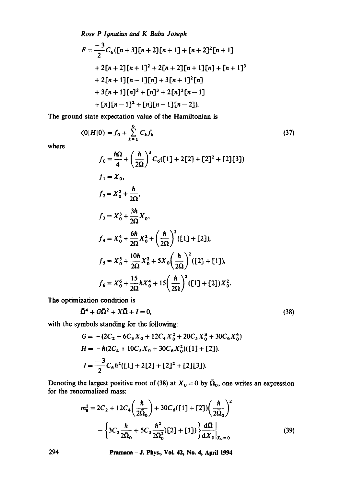*Rose P Ignatius and K Babu Joseph* 

$$
F = \frac{-3}{2}C_6([n+3][n+2][n+1] + [n+2]^2[n+1]
$$
  
+ 2[n+2][n+1]^2 + 2[n+2][n+1][n] + [n+1]^3  
+ 2[n+1][n-1][n] + 3[n+1]^2[n]  
+ 3[n+1][n]^2 + [n]^3 + 2[n]^2[n-1]  
+ [n][n-1]^2 + [n][n-1][n-2]).

The ground state expectation value of the Hamiltonian is

$$
\langle 0|H|0 \rangle = f_0 + \sum_{k=1}^{6} C_k f_k
$$
 (37)

**where** 

$$
f_0 = \frac{\hbar\Omega}{4} + \left(\frac{\hbar}{2\Omega}\right)^3 C_6([1] + 2[2] + [2]^2 + [2][3])
$$
  
\n
$$
f_1 = X_0,
$$
  
\n
$$
f_2 = X_0^2 + \frac{\hbar}{2\Omega},
$$
  
\n
$$
f_3 = X_0^3 + \frac{3\hbar}{2\Omega} X_0,
$$
  
\n
$$
f_4 = X_0^4 + \frac{6\hbar}{2\Omega} X_0^2 + \left(\frac{\hbar}{2\Omega}\right)^2 ([1] + [2]),
$$
  
\n
$$
f_5 = X_0^5 + \frac{10\hbar}{2\Omega} X_0^3 + 5X_0 \left(\frac{\hbar}{2\Omega}\right)^2 ([2] + [1]),
$$
  
\n
$$
f_6 = X_0^6 + \frac{15}{2\Omega} \hbar X_0^4 + 15 \left(\frac{\hbar}{2\Omega}\right)^2 ([1] + [2]) X_0^2.
$$

**The optimization condition is** 

$$
\bar{\Omega}^4 + G\bar{\Omega}^2 + X\bar{\Omega} + I = 0,\tag{38}
$$

**with** the symbols standing for the **following:** 

$$
G = -(2C_2 + 6C_3X_0 + 12C_4X_0^2 + 20C_5X_0^3 + 30C_6X_0^4)
$$
  
\n
$$
H = -\hbar(2C_4 + 10C_5X_0 + 30C_6X_0^2)([1] + [2]).
$$
  
\n
$$
I = \frac{-3}{2}C_6\hbar^2([1] + 2[2] + [2]^2 + [2][3]).
$$

Denoting the largest positive root of (38) at  $X_0 = 0$  by  $\overline{\Omega}_0$ , one writes an expression **for the renormalized** mass:

$$
m_{\mathbf{R}}^2 = 2C_2 + 12C_4 \left(\frac{\hbar}{2\bar{\Omega}_0}\right) + 30C_6 ([1] + [2]) \left(\frac{\hbar}{2\bar{\Omega}_0}\right)^2 - \left\{3C_3 \frac{\hbar}{2\bar{\Omega}_0} + 5C_5 \frac{\hbar^2}{2\bar{\Omega}_0^2} ([2] + [1])\right\} \frac{d\bar{\Omega}}{dX_0}\Big|_{X_0 = 0}
$$
(39)

**294 Pramana -J. Phys., VoL 42, No. 4, April 1994**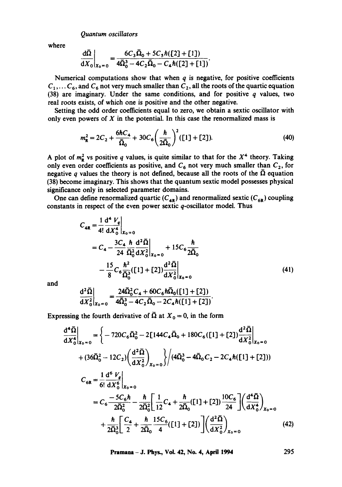*Quantum oscillators* 

where

$$
\frac{d\bar{\Omega}}{dX_0}\bigg|_{X_0=0} = \frac{6C_3\bar{\Omega}_0 + 5C_5\hbar([2] + [1])}{4\bar{\Omega}_0^3 - 4C_2\bar{\Omega}_0 - C_4\hbar([2] + [1]).}
$$

Numerical computations show that when  $q$  is negative, for positive coefficients  $C_1, \ldots C_6$ , and  $C_6$  not very much smaller than  $C_2$ , all the roots of the quartic equation (38) are imaginary. Under the same conditions, and for positive  $q$  values, two real roots exists, of which one is positive and the other negative.

Setting the odd order coefficients equal to zero, we obtain a sextic oscillator with only even powers of  $X$  in the potential. In this case the renormalized mass is

$$
m_{\mathbf{R}}^2 = 2C_2 + \frac{6\hbar C_4}{\bar{\Omega}_0} + 30C_6 \left(\frac{\hbar}{2\bar{\Omega}_0}\right)^2 ([1] + [2]).
$$
 (40)

A plot of  $m_R^2$  vs positive q values, is quite similar to that for the  $X^4$  theory. Taking only even order coefficients as positive, and  $C_6$  not very much smaller than  $C_2$ , for negative q values the theory is not defined, because all the roots of the  $\bar{\Omega}$  equation (38) become imaginary. This shows that the quantum sextic model possesses physical significance only in selected parameter domains.

One can define renormalized quartic  $(C_{4R})$  and renormalized sextic  $(C_{6R})$  coupling constants in respect of the even power sextic  $q$ -oscillator model. Thus

$$
C_{4R} = \frac{1}{4!} \frac{d^4 V_q}{dX_0^4} \Big|_{X_0 = 0}
$$
  
=  $C_4 - \frac{3C_4 \hbar}{24} \frac{d^2 \bar{\Omega}}{\bar{\Omega}_0^2} \frac{d^2 \bar{\Omega}}{dX_0^2} \Big|_{X_0 = 0} + 15C_6 \frac{\hbar}{2\bar{\Omega}_0}$   

$$
- \frac{15}{8} C_6 \frac{\hbar^2}{\bar{\Omega}_0^3} ([1] + [2]) \frac{d^2 \bar{\Omega}}{dX_0^2} \Big|_{X_0 = 0}
$$
(41)

and

$$
\frac{d^2\bar{\Omega}}{dX_0^2}\bigg|_{X_0=0} = \frac{24\bar{\Omega}_0^2C_4 + 60C_6\hbar\bar{\Omega}_0([1] + [2])}{4\bar{\Omega}_0^3 - 4C_2\bar{\Omega}_0 - 2C_4\hbar([1] + [2])}.
$$

Expressing the fourth derivative of  $\overline{\Omega}$  at  $X_0 = 0$ , in the form

$$
\frac{d^4 \bar{\Omega}}{dX_0^4}\Big|_{X_0=0} = \left\{-720C_6 \bar{\Omega}_0^2 - 2[144C_4 \bar{\Omega}_0 + 180C_6([1] + [2])\frac{d^2 \bar{\Omega}}{dX_0^2}\Big|_{X_0=0} \right\}
$$
  
+  $(36\bar{\Omega}_0^2 - 12C_2)\left(\frac{d^2 \bar{\Omega}}{dX_0^2}\right)_{X_0=0} \left\}/(4\bar{\Omega}_0^3 - 4\bar{\Omega}_0C_2 - 2C_4\hbar([1] + [2]))$   

$$
C_{6R} = \frac{1}{6!} \frac{d^6 V_g}{dX_0^6}\Big|_{X_0=0}
$$
  

$$
= C_6 \frac{-5C_6\hbar}{2\bar{\Omega}_0^2} - \frac{\hbar}{2\bar{\Omega}_0^2} \left[\frac{1}{12}C_4 + \frac{\hbar}{2\bar{\Omega}_0}([1] + [2])\frac{10C_6}{24}\right] \left(\frac{d^4 \bar{\Omega}}{dX_0^4}\right)_{X_0=0}
$$
  
+ 
$$
\frac{\hbar}{2\bar{\Omega}_0^3} \left[\frac{C_4}{2} + \frac{\hbar}{2\bar{\Omega}_0} \frac{15C_6}{4}([1] + [2])\right] \left(\frac{d^2 \bar{\Omega}}{dX_0^2}\right)_{X_0=0}
$$
(42)

**Pramana -** J. Phys., Vol. 42, No. 4, April 1994 295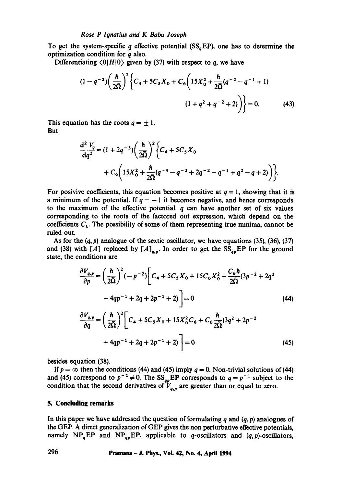To get the system-specific  $q$  effective potential (SS<sub>a</sub>EP), one has to determine the optimization condition for q also.

Differentiating  $\langle 0|H|0 \rangle$  given by (37) with respect to q, we have

$$
(1 - q^{-2}) \left(\frac{\hbar}{2\overline{\Omega}}\right)^2 \left\{ C_4 + 5C_5 X_0 + C_6 \left(15X_0^2 + \frac{\hbar}{2\overline{\Omega}}(q^{-2} - q^{-1} + 1) \right) \right\}
$$
  

$$
(1 + q^2 + q^{-2} + 2) \left\} = 0.
$$
 (43)

This equation has the roots  $q = \pm 1$ . **But** 

$$
\frac{d^2 V_q}{dq^2} = (1 + 2q^{-3}) \left( \frac{\hbar}{2\overline{\Omega}} \right)^2 \left\{ C_4 + 5C_5 X_0 + C_6 \left( 15X_0^2 + \frac{\hbar}{2\overline{\Omega}} (q^{-4} - q^{-3} + 2q^{-2} - q^{-1} + q^2 - q + 2) \right) \right\}.
$$

For posivive coefficients, this equation becomes positive at  $q = 1$ , showing that it is a minimum of the potential. If  $q = -1$  it becomes negative, and hence corresponds to the maximum of the effective potential,  $q$  can have another set of six values corresponding to the roots of the factored out expression, which depend on the coefficients  $C_k$ . The possibility of some of them representing true minima, cannot be ruled out.

As for the  $(q, p)$  analogue of the sextic oscillator, we have equations (35), (36), (37) and (38) with [A] replaced by  $[A]_{q,p}$ . In order to get the  $SS_{qp}EP$  for the ground state, the conditions are

$$
\frac{\partial V_{q,p}}{\partial p} = \left(\frac{\hbar}{2\Omega}\right)^2 (-p^{-2}) \left[C_4 + 5C_5 X_0 + 15C_6 X_0^2 + \frac{C_6 \hbar}{2\Omega} (3p^{-2} + 2q^2 + 4qp^{-1} + 2q + 2p^{-1} + 2)\right] = 0
$$
\n(44)  
\n
$$
\frac{\partial V_{q,p}}{\partial q} = \left(\frac{\hbar}{2\Omega}\right)^2 \left[C_4 + 5C_5 X_0 + 15X_0^2 C_6 + C_6 \frac{\hbar}{2\Omega} (3q^2 + 2p^{-2} + 4qp^{-1} + 2q + 2p^{-1} + 2)\right] = 0
$$
\n(45)

besides equation (38).

If  $p = \infty$  then the conditions (44) and (45) imply  $q = 0$ . Non-trivial solutions of (44) and (45) correspond to  $p^{-2} \neq 0$ . The SS<sub>qp</sub>EP corresponds to  $q = p^{-1}$  subject to the condition that the second derivatives of  $V_{a}$ , are greater than or equal to zero.

#### **5. Concluding remarks**

In this paper we have addressed the question of formulating  $q$  and  $(q, p)$  analogues of the GEP. A direct generalization of GEP gives the non perturbative effective potentials, namely  $NP_qEP$  and  $NP_{qp}EP$ , applicable to q-oscillators and  $(q, p)$ -oscillators,